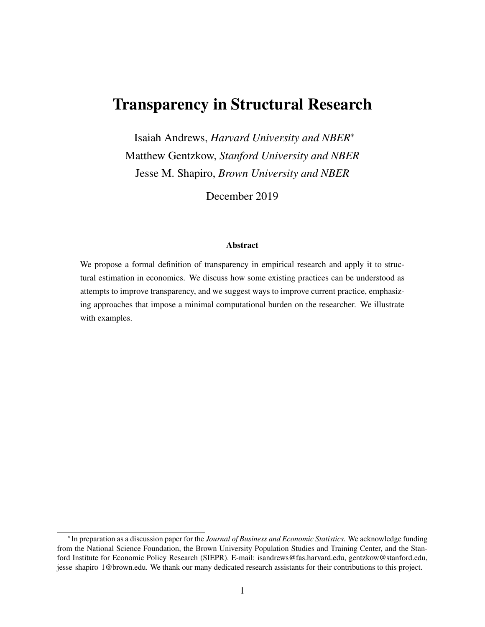# Transparency in Structural Research

Isaiah Andrews, *Harvard University and NBER*<sup>∗</sup> Matthew Gentzkow, *Stanford University and NBER* Jesse M. Shapiro, *Brown University and NBER*

December 2019

#### Abstract

We propose a formal definition of transparency in empirical research and apply it to structural estimation in economics. We discuss how some existing practices can be understood as attempts to improve transparency, and we suggest ways to improve current practice, emphasizing approaches that impose a minimal computational burden on the researcher. We illustrate with examples.

<sup>∗</sup> In preparation as a discussion paper for the *Journal of Business and Economic Statistics.* We acknowledge funding from the National Science Foundation, the Brown University Population Studies and Training Center, and the Stanford Institute for Economic Policy Research (SIEPR). E-mail: isandrews@fas.harvard.edu, gentzkow@stanford.edu, jesse shapiro 1@brown.edu. We thank our many dedicated research assistants for their contributions to this project.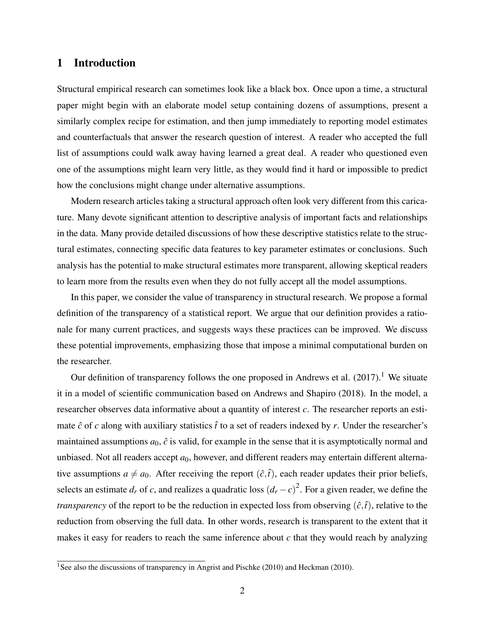### 1 Introduction

Structural empirical research can sometimes look like a black box. Once upon a time, a structural paper might begin with an elaborate model setup containing dozens of assumptions, present a similarly complex recipe for estimation, and then jump immediately to reporting model estimates and counterfactuals that answer the research question of interest. A reader who accepted the full list of assumptions could walk away having learned a great deal. A reader who questioned even one of the assumptions might learn very little, as they would find it hard or impossible to predict how the conclusions might change under alternative assumptions.

Modern research articles taking a structural approach often look very different from this caricature. Many devote significant attention to descriptive analysis of important facts and relationships in the data. Many provide detailed discussions of how these descriptive statistics relate to the structural estimates, connecting specific data features to key parameter estimates or conclusions. Such analysis has the potential to make structural estimates more transparent, allowing skeptical readers to learn more from the results even when they do not fully accept all the model assumptions.

In this paper, we consider the value of transparency in structural research. We propose a formal definition of the transparency of a statistical report. We argue that our definition provides a rationale for many current practices, and suggests ways these practices can be improved. We discuss these potential improvements, emphasizing those that impose a minimal computational burden on the researcher.

Our definition of transparency follows the one proposed in Andrews et al.  $(2017)$ .<sup>1</sup> We situate it in a model of scientific communication based on Andrews and Shapiro (2018). In the model, a researcher observes data informative about a quantity of interest *c*. The researcher reports an estimate  $\hat{c}$  of *c* along with auxiliary statistics  $\hat{t}$  to a set of readers indexed by *r*. Under the researcher's maintained assumptions  $a_0$ ,  $\hat{c}$  is valid, for example in the sense that it is asymptotically normal and unbiased. Not all readers accept  $a_0$ , however, and different readers may entertain different alternative assumptions  $a \neq a_0$ . After receiving the report  $(\hat{c}, \hat{t})$ , each reader updates their prior beliefs, selects an estimate  $d_r$  of *c*, and realizes a quadratic loss  $(d_r - c)^2$ . For a given reader, we define the *transparency* of the report to be the reduction in expected loss from observing  $(\hat{c}, \hat{t})$ , relative to the reduction from observing the full data. In other words, research is transparent to the extent that it makes it easy for readers to reach the same inference about  $c$  that they would reach by analyzing

<sup>&</sup>lt;sup>1</sup>See also the discussions of transparency in Angrist and Pischke (2010) and Heckman (2010).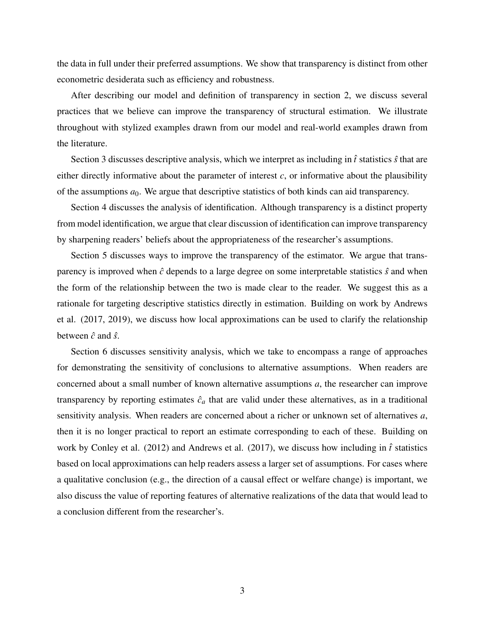the data in full under their preferred assumptions. We show that transparency is distinct from other econometric desiderata such as efficiency and robustness.

After describing our model and definition of transparency in section 2, we discuss several practices that we believe can improve the transparency of structural estimation. We illustrate throughout with stylized examples drawn from our model and real-world examples drawn from the literature.

Section 3 discusses descriptive analysis, which we interpret as including in  $\hat{t}$  statistics  $\hat{s}$  that are either directly informative about the parameter of interest  $c$ , or informative about the plausibility of the assumptions  $a_0$ . We argue that descriptive statistics of both kinds can aid transparency.

Section 4 discusses the analysis of identification. Although transparency is a distinct property from model identification, we argue that clear discussion of identification can improve transparency by sharpening readers' beliefs about the appropriateness of the researcher's assumptions.

Section 5 discusses ways to improve the transparency of the estimator. We argue that transparency is improved when  $\hat{c}$  depends to a large degree on some interpretable statistics  $\hat{s}$  and when the form of the relationship between the two is made clear to the reader. We suggest this as a rationale for targeting descriptive statistics directly in estimation. Building on work by Andrews et al. (2017, 2019), we discuss how local approximations can be used to clarify the relationship between  $\hat{c}$  and  $\hat{s}$ .

Section 6 discusses sensitivity analysis, which we take to encompass a range of approaches for demonstrating the sensitivity of conclusions to alternative assumptions. When readers are concerned about a small number of known alternative assumptions *a*, the researcher can improve transparency by reporting estimates  $\hat{c}_a$  that are valid under these alternatives, as in a traditional sensitivity analysis. When readers are concerned about a richer or unknown set of alternatives *a*, then it is no longer practical to report an estimate corresponding to each of these. Building on work by Conley et al. (2012) and Andrews et al. (2017), we discuss how including in *t*ˆ statistics based on local approximations can help readers assess a larger set of assumptions. For cases where a qualitative conclusion (e.g., the direction of a causal effect or welfare change) is important, we also discuss the value of reporting features of alternative realizations of the data that would lead to a conclusion different from the researcher's.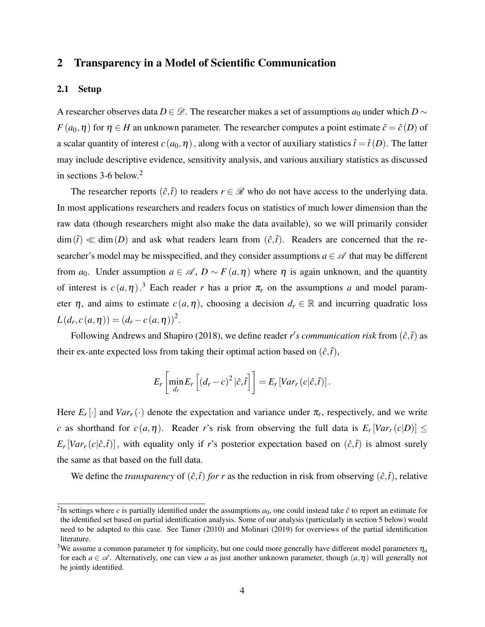# 2 Transparency in a Model of Scientific Communication

### 2.1 Setup

A researcher observes data *D* ∈  $\mathscr{D}$ . The researcher makes a set of assumptions  $a_0$  under which *D* ∼ *F* ( $a_0$ , $\eta$ ) for  $\eta \in H$  an unknown parameter. The researcher computes a point estimate  $\hat{c} = \hat{c}(D)$  of a scalar quantity of interest  $c(a_0, \eta)$ , along with a vector of auxiliary statistics  $\hat{t} = \hat{t}(D)$ . The latter may include descriptive evidence, sensitivity analysis, and various auxiliary statistics as discussed in sections  $3-6$  below.<sup>2</sup>

The researcher reports  $(\hat{c}, \hat{t})$  to readers  $r \in \mathcal{R}$  who do not have access to the underlying data. In most applications researchers and readers focus on statistics of much lower dimension than the raw data (though researchers might also make the data available), so we will primarily consider  $\dim(\hat{t}) \ll \dim(D)$  and ask what readers learn from  $(\hat{c}, \hat{t})$ . Readers are concerned that the researcher's model may be misspecified, and they consider assumptions  $a \in \mathcal{A}$  that may be different from *a*<sub>0</sub>. Under assumption  $a \in \mathcal{A}$ ,  $D \sim F(a, \eta)$  where  $\eta$  is again unknown, and the quantity of interest is  $c(a, \eta)$ .<sup>3</sup> Each reader *r* has a prior  $\pi_r$  on the assumptions *a* and model parameter  $\eta$ , and aims to estimate  $c(a, \eta)$ , choosing a decision  $d_r \in \mathbb{R}$  and incurring quadratic loss  $L(d_r, c(a, \eta)) = (d_r - c(a, \eta))^2$ .

Following Andrews and Shapiro (2018), we define reader  $r's$  communication risk from  $(\hat{c}, \hat{t})$  as their ex-ante expected loss from taking their optimal action based on  $(\hat{c}, \hat{t})$ ,

$$
E_r\left[\min_{d_r} E_r\left[\left(d_r-c\right)^2|\hat{c},\hat{t}\right]\right] = E_r\left[Var_r\left(c|\hat{c},\hat{t}\right)\right].
$$

Here  $E_r[\cdot]$  and  $Var_r(\cdot)$  denote the expectation and variance under  $\pi_r$ , respectively, and we write *c* as shorthand for  $c(a, \eta)$ . Reader *r*'s risk from observing the full data is  $E_r[Var_r(c|D)] \le$  $E_r[Var_r(c|\hat{c},\hat{t})]$ , with equality only if *r*'s posterior expectation based on  $(\hat{c},\hat{t})$  is almost surely the same as that based on the full data.

We define the *transparency* of  $(\hat{c}, \hat{t})$  *for r* as the reduction in risk from observing  $(\hat{c}, \hat{t})$ , relative

<sup>&</sup>lt;sup>2</sup>In settings where *c* is partially identified under the assumptions  $a_0$ , one could instead take  $\hat{c}$  to report an estimate for the identified set based on partial identification analysis. Some of our analysis (particularly in section 5 below) would need to be adapted to this case. See Tamer (2010) and Molinari (2019) for overviews of the partial identification literature.

<sup>&</sup>lt;sup>3</sup>We assume a common parameter  $\eta$  for simplicity, but one could more generally have different model parameters  $\eta_a$ for each  $a \in \mathscr{A}$ . Alternatively, one can view *a* as just another unknown parameter, though  $(a, \eta)$  will generally not be jointly identified.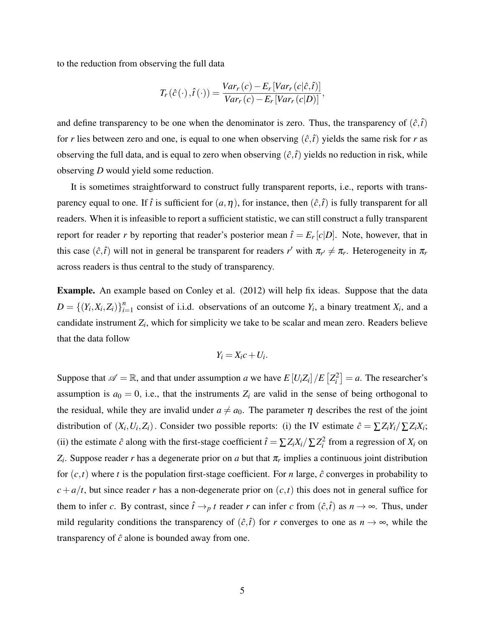to the reduction from observing the full data

$$
T_r(\hat{c}(\cdot),\hat{t}(\cdot)) = \frac{Var_r(c) - E_r[Var_r(c|\hat{c},\hat{t})]}{Var_r(c) - E_r[Var_r(c|D)]},
$$

and define transparency to be one when the denominator is zero. Thus, the transparency of  $(\hat{c}, \hat{t})$ for *r* lies between zero and one, is equal to one when observing  $(\hat{c}, \hat{t})$  yields the same risk for *r* as observing the full data, and is equal to zero when observing  $(\hat{c}, \hat{t})$  yields no reduction in risk, while observing *D* would yield some reduction.

It is sometimes straightforward to construct fully transparent reports, i.e., reports with transparency equal to one. If  $\hat{t}$  is sufficient for  $(a, \eta)$ , for instance, then  $(\hat{c}, \hat{t})$  is fully transparent for all readers. When it is infeasible to report a sufficient statistic, we can still construct a fully transparent report for reader *r* by reporting that reader's posterior mean  $\hat{t} = E_r[c|D]$ . Note, however, that in this case  $(\hat{c}, \hat{t})$  will not in general be transparent for readers  $r'$  with  $\pi_{r'} \neq \pi_r$ . Heterogeneity in  $\pi_r$ across readers is thus central to the study of transparency.

Example. An example based on Conley et al. (2012) will help fix ideas. Suppose that the data  $D = \{(Y_i, X_i, Z_i)\}_{i=1}^n$  $C_{i=1}^n$  consist of i.i.d. observations of an outcome  $Y_i$ , a binary treatment  $X_i$ , and a candidate instrument *Z<sup>i</sup>* , which for simplicity we take to be scalar and mean zero. Readers believe that the data follow

$$
Y_i = X_i c + U_i.
$$

Suppose that  $\mathscr{A} = \mathbb{R}$ , and that under assumption *a* we have  $E[U_i Z_i]/E\left[Z_i^2\right] = a$ . The researcher's assumption is  $a_0 = 0$ , i.e., that the instruments  $Z_i$  are valid in the sense of being orthogonal to the residual, while they are invalid under  $a \neq a_0$ . The parameter  $\eta$  describes the rest of the joint distribution of  $(X_i, U_i, Z_i)$ . Consider two possible reports: (i) the IV estimate  $\hat{c} = \sum Z_i Y_i / \sum Z_i X_i$ ; (ii) the estimate  $\hat{c}$  along with the first-stage coefficient  $\hat{t} = \sum Z_i X_i / \sum Z_i^2$  from a regression of  $X_i$  on  $Z_i$ . Suppose reader *r* has a degenerate prior on *a* but that  $\pi_r$  implies a continuous joint distribution for  $(c, t)$  where *t* is the population first-stage coefficient. For *n* large,  $\hat{c}$  converges in probability to  $c + a/t$ , but since reader *r* has a non-degenerate prior on  $(c, t)$  this does not in general suffice for them to infer *c*. By contrast, since  $\hat{t} \rightarrow_p t$  reader *r* can infer *c* from  $(\hat{c}, \hat{t})$  as  $n \rightarrow \infty$ . Thus, under mild regularity conditions the transparency of  $(\hat{c}, \hat{t})$  for *r* converges to one as  $n \to \infty$ , while the transparency of ˆ*c* alone is bounded away from one.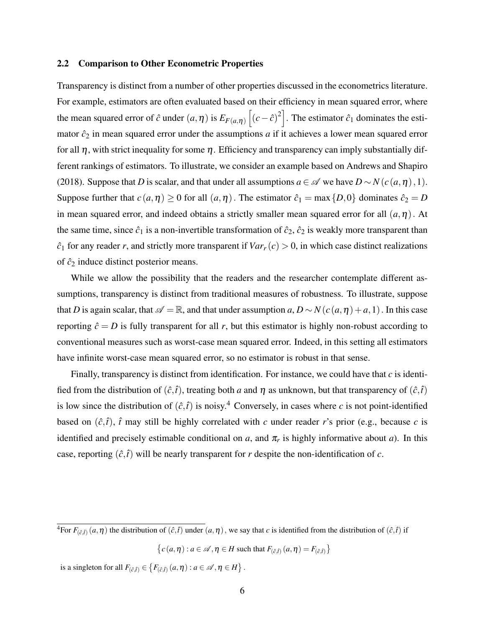#### 2.2 Comparison to Other Econometric Properties

Transparency is distinct from a number of other properties discussed in the econometrics literature. For example, estimators are often evaluated based on their efficiency in mean squared error, where the mean squared error of  $\hat{c}$  under  $(a, \eta)$  is  $E_{F(a, \eta)}[(c-\hat{c})^2]$ . The estimator  $\hat{c}_1$  dominates the estimator  $\hat{c}_2$  in mean squared error under the assumptions  $a$  if it achieves a lower mean squared error for all  $\eta$ , with strict inequality for some  $\eta$ . Efficiency and transparency can imply substantially different rankings of estimators. To illustrate, we consider an example based on Andrews and Shapiro (2018). Suppose that *D* is scalar, and that under all assumptions  $a \in \mathcal{A}$  we have  $D \sim N(c(a, \eta), 1)$ . Suppose further that  $c(a, \eta) \ge 0$  for all  $(a, \eta)$ . The estimator  $\hat{c}_1 = \max\{D, 0\}$  dominates  $\hat{c}_2 = D$ in mean squared error, and indeed obtains a strictly smaller mean squared error for all  $(a, \eta)$ . At the same time, since  $\hat{c}_1$  is a non-invertible transformation of  $\hat{c}_2$ ,  $\hat{c}_2$  is weakly more transparent than  $\hat{c}_1$  for any reader *r*, and strictly more transparent if  $Var_r(c) > 0$ , in which case distinct realizations of  $\hat{c}_2$  induce distinct posterior means.

While we allow the possibility that the readers and the researcher contemplate different assumptions, transparency is distinct from traditional measures of robustness. To illustrate, suppose that *D* is again scalar, that  $\mathscr{A} = \mathbb{R}$ , and that under assumption *a*,  $D \sim N(c(a, \eta) + a, 1)$ . In this case reporting  $\hat{c} = D$  is fully transparent for all *r*, but this estimator is highly non-robust according to conventional measures such as worst-case mean squared error. Indeed, in this setting all estimators have infinite worst-case mean squared error, so no estimator is robust in that sense.

Finally, transparency is distinct from identification. For instance, we could have that *c* is identified from the distribution of  $(\hat{c}, \hat{t})$ , treating both *a* and  $\eta$  as unknown, but that transparency of  $(\hat{c}, \hat{t})$ is low since the distribution of  $(\hat{c}, \hat{t})$  is noisy.<sup>4</sup> Conversely, in cases where *c* is not point-identified based on  $(\hat{c}, \hat{t})$ ,  $\hat{t}$  may still be highly correlated with *c* under reader *r*'s prior (e.g., because *c* is identified and precisely estimable conditional on *a*, and  $\pi_r$  is highly informative about *a*). In this case, reporting  $(\hat{c}, \hat{t})$  will be nearly transparent for *r* despite the non-identification of *c*.

is a singleton for all  $F_{(\hat{c},\hat{t})} \in \left\{ F_{(\hat{c},\hat{t})}(a,\eta) : a \in \mathscr{A}, \eta \in H \right\}.$ 

 ${}^4$ For  $F_{(\hat{c},\hat{t})}(a,\eta)$  the distribution of  $(\hat{c},\hat{t})$  under  $(a,\eta)$ , we say that *c* is identified from the distribution of  $(\hat{c},\hat{t})$  if

 ${c(a, \eta): a \in \mathcal{A}, \eta \in H \text{ such that } F_{(\hat{c},\hat{t})}(a, \eta) = F_{(\hat{c},\hat{t})}}$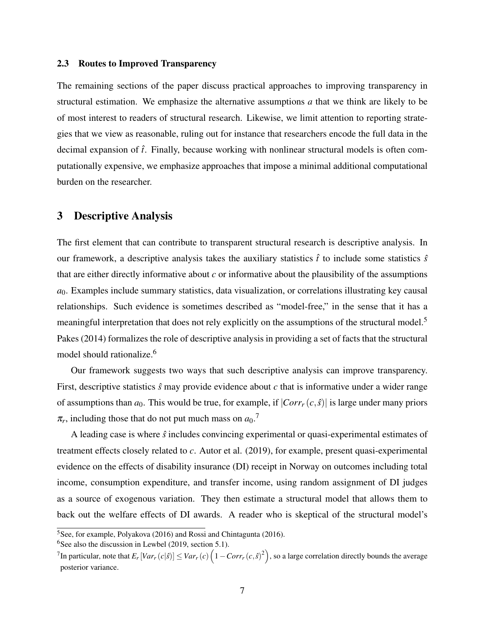### 2.3 Routes to Improved Transparency

The remaining sections of the paper discuss practical approaches to improving transparency in structural estimation. We emphasize the alternative assumptions *a* that we think are likely to be of most interest to readers of structural research. Likewise, we limit attention to reporting strategies that we view as reasonable, ruling out for instance that researchers encode the full data in the decimal expansion of *t*ˆ. Finally, because working with nonlinear structural models is often computationally expensive, we emphasize approaches that impose a minimal additional computational burden on the researcher.

### 3 Descriptive Analysis

The first element that can contribute to transparent structural research is descriptive analysis. In our framework, a descriptive analysis takes the auxiliary statistics  $\hat{t}$  to include some statistics  $\hat{s}$ that are either directly informative about *c* or informative about the plausibility of the assumptions  $a<sub>0</sub>$ . Examples include summary statistics, data visualization, or correlations illustrating key causal relationships. Such evidence is sometimes described as "model-free," in the sense that it has a meaningful interpretation that does not rely explicitly on the assumptions of the structural model.<sup>5</sup> Pakes (2014) formalizes the role of descriptive analysis in providing a set of facts that the structural model should rationalize.<sup>6</sup>

Our framework suggests two ways that such descriptive analysis can improve transparency. First, descriptive statistics  $\hat{s}$  may provide evidence about  $c$  that is informative under a wider range of assumptions than  $a_0$ . This would be true, for example, if  $|Corr<sub>r</sub>(c, \hat{s})|$  is large under many priors  $\pi_r$ , including those that do not put much mass on  $a_0$ .<sup>7</sup>

A leading case is where ˆ*s* includes convincing experimental or quasi-experimental estimates of treatment effects closely related to *c*. Autor et al. (2019), for example, present quasi-experimental evidence on the effects of disability insurance (DI) receipt in Norway on outcomes including total income, consumption expenditure, and transfer income, using random assignment of DI judges as a source of exogenous variation. They then estimate a structural model that allows them to back out the welfare effects of DI awards. A reader who is skeptical of the structural model's

 $6$ See also the discussion in Lewbel (2019, section 5.1).

<sup>5</sup>See, for example, Polyakova (2016) and Rossi and Chintagunta (2016).

 $^7$ In particular, note that  $E_r[Var_r(c|\hat{s})] \leq Var_r(c)\left(1 - Corr_r(c,\hat{s})^2\right)$ , so a large correlation directly bounds the average posterior variance.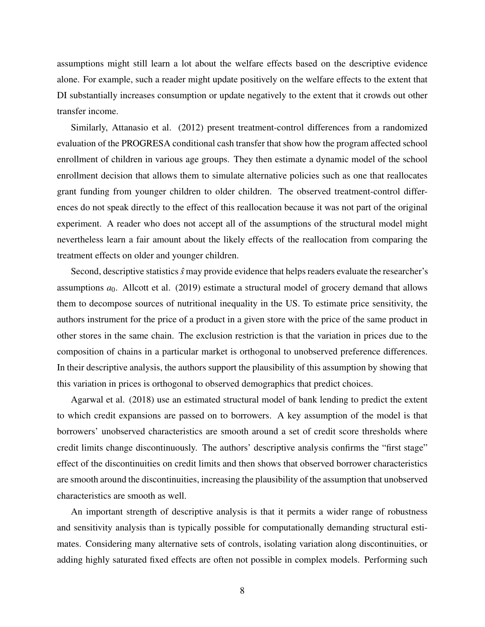assumptions might still learn a lot about the welfare effects based on the descriptive evidence alone. For example, such a reader might update positively on the welfare effects to the extent that DI substantially increases consumption or update negatively to the extent that it crowds out other transfer income.

Similarly, Attanasio et al. (2012) present treatment-control differences from a randomized evaluation of the PROGRESA conditional cash transfer that show how the program affected school enrollment of children in various age groups. They then estimate a dynamic model of the school enrollment decision that allows them to simulate alternative policies such as one that reallocates grant funding from younger children to older children. The observed treatment-control differences do not speak directly to the effect of this reallocation because it was not part of the original experiment. A reader who does not accept all of the assumptions of the structural model might nevertheless learn a fair amount about the likely effects of the reallocation from comparing the treatment effects on older and younger children.

Second, descriptive statistics  $\hat{s}$  may provide evidence that helps readers evaluate the researcher's assumptions  $a_0$ . Allcott et al. (2019) estimate a structural model of grocery demand that allows them to decompose sources of nutritional inequality in the US. To estimate price sensitivity, the authors instrument for the price of a product in a given store with the price of the same product in other stores in the same chain. The exclusion restriction is that the variation in prices due to the composition of chains in a particular market is orthogonal to unobserved preference differences. In their descriptive analysis, the authors support the plausibility of this assumption by showing that this variation in prices is orthogonal to observed demographics that predict choices.

Agarwal et al. (2018) use an estimated structural model of bank lending to predict the extent to which credit expansions are passed on to borrowers. A key assumption of the model is that borrowers' unobserved characteristics are smooth around a set of credit score thresholds where credit limits change discontinuously. The authors' descriptive analysis confirms the "first stage" effect of the discontinuities on credit limits and then shows that observed borrower characteristics are smooth around the discontinuities, increasing the plausibility of the assumption that unobserved characteristics are smooth as well.

An important strength of descriptive analysis is that it permits a wider range of robustness and sensitivity analysis than is typically possible for computationally demanding structural estimates. Considering many alternative sets of controls, isolating variation along discontinuities, or adding highly saturated fixed effects are often not possible in complex models. Performing such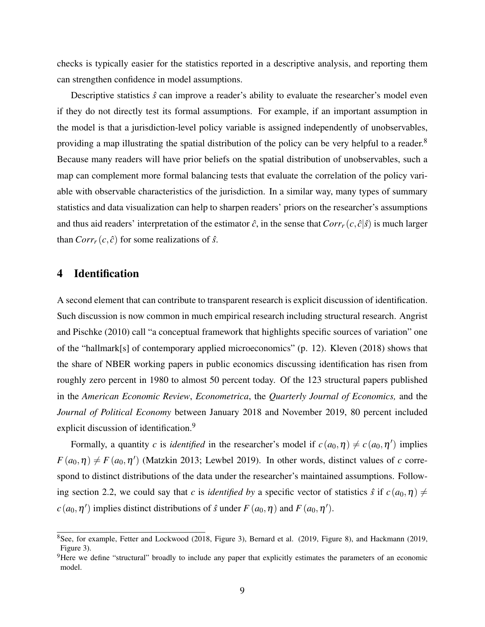checks is typically easier for the statistics reported in a descriptive analysis, and reporting them can strengthen confidence in model assumptions.

Descriptive statistics  $\hat{s}$  can improve a reader's ability to evaluate the researcher's model even if they do not directly test its formal assumptions. For example, if an important assumption in the model is that a jurisdiction-level policy variable is assigned independently of unobservables, providing a map illustrating the spatial distribution of the policy can be very helpful to a reader.<sup>8</sup> Because many readers will have prior beliefs on the spatial distribution of unobservables, such a map can complement more formal balancing tests that evaluate the correlation of the policy variable with observable characteristics of the jurisdiction. In a similar way, many types of summary statistics and data visualization can help to sharpen readers' priors on the researcher's assumptions and thus aid readers' interpretation of the estimator  $\hat{c}$ , in the sense that  $Corr<sub>r</sub>(c, \hat{c}|\hat{s})$  is much larger than  $Corr<sub>r</sub>(c, \hat{c})$  for some realizations of  $\hat{s}$ .

### 4 Identification

A second element that can contribute to transparent research is explicit discussion of identification. Such discussion is now common in much empirical research including structural research. Angrist and Pischke (2010) call "a conceptual framework that highlights specific sources of variation" one of the "hallmark[s] of contemporary applied microeconomics" (p. 12). Kleven (2018) shows that the share of NBER working papers in public economics discussing identification has risen from roughly zero percent in 1980 to almost 50 percent today. Of the 123 structural papers published in the *American Economic Review*, *Econometrica*, the *Quarterly Journal of Economics,* and the *Journal of Political Economy* between January 2018 and November 2019, 80 percent included explicit discussion of identification.<sup>9</sup>

Formally, a quantity *c* is *identified* in the researcher's model if  $c(a_0, \eta) \neq c(a_0, \eta')$  implies  $F(a_0, \eta) \neq F(a_0, \eta')$  (Matzkin 2013; Lewbel 2019). In other words, distinct values of *c* correspond to distinct distributions of the data under the researcher's maintained assumptions. Following section 2.2, we could say that *c* is *identified by* a specific vector of statistics  $\hat{s}$  if  $c(a_0, \eta) \neq 0$  $c(a_0, \eta')$  implies distinct distributions of  $\hat{s}$  under  $F(a_0, \eta)$  and  $F(a_0, \eta')$ .

<sup>8</sup>See, for example, Fetter and Lockwood (2018, Figure 3), Bernard et al. (2019, Figure 8), and Hackmann (2019, Figure 3).

 $9$ Here we define "structural" broadly to include any paper that explicitly estimates the parameters of an economic model.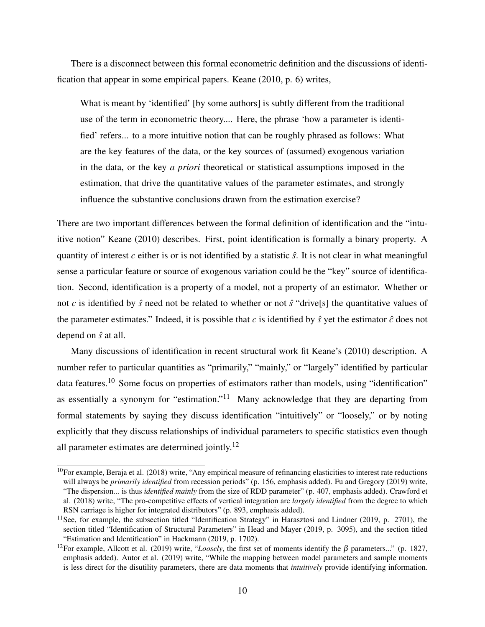There is a disconnect between this formal econometric definition and the discussions of identification that appear in some empirical papers. Keane (2010, p. 6) writes,

What is meant by 'identified' [by some authors] is subtly different from the traditional use of the term in econometric theory.... Here, the phrase 'how a parameter is identified' refers... to a more intuitive notion that can be roughly phrased as follows: What are the key features of the data, or the key sources of (assumed) exogenous variation in the data, or the key *a priori* theoretical or statistical assumptions imposed in the estimation, that drive the quantitative values of the parameter estimates, and strongly influence the substantive conclusions drawn from the estimation exercise?

There are two important differences between the formal definition of identification and the "intuitive notion" Keane (2010) describes. First, point identification is formally a binary property. A quantity of interest  $c$  either is or is not identified by a statistic  $\hat{s}$ . It is not clear in what meaningful sense a particular feature or source of exogenous variation could be the "key" source of identification. Second, identification is a property of a model, not a property of an estimator. Whether or not *c* is identified by  $\hat{s}$  need not be related to whether or not  $\hat{s}$  "drive[s] the quantitative values of the parameter estimates." Indeed, it is possible that  $c$  is identified by  $\hat{s}$  yet the estimator  $\hat{c}$  does not depend on ˆ*s* at all.

Many discussions of identification in recent structural work fit Keane's (2010) description. A number refer to particular quantities as "primarily," "mainly," or "largely" identified by particular data features.<sup>10</sup> Some focus on properties of estimators rather than models, using "identification" as essentially a synonym for "estimation."<sup>11</sup> Many acknowledge that they are departing from formal statements by saying they discuss identification "intuitively" or "loosely," or by noting explicitly that they discuss relationships of individual parameters to specific statistics even though all parameter estimates are determined jointly.<sup>12</sup>

 $10$ For example, Beraja et al. (2018) write, "Any empirical measure of refinancing elasticities to interest rate reductions will always be *primarily identified* from recession periods" (p. 156, emphasis added). Fu and Gregory (2019) write, "The dispersion... is thus *identified mainly* from the size of RDD parameter" (p. 407, emphasis added). Crawford et al. (2018) write, "The pro-competitive effects of vertical integration are *largely identified* from the degree to which RSN carriage is higher for integrated distributors" (p. 893, emphasis added).

<sup>&</sup>lt;sup>11</sup>See, for example, the subsection titled "Identification Strategy" in Harasztosi and Lindner (2019, p. 2701), the section titled "Identification of Structural Parameters" in Head and Mayer (2019, p. 3095), and the section titled "Estimation and Identification" in Hackmann (2019, p. 1702).

<sup>&</sup>lt;sup>12</sup>For example, Allcott et al. (2019) write, "*Loosely*, the first set of moments identify the  $\beta$  parameters..." (p. 1827, emphasis added). Autor et al. (2019) write, "While the mapping between model parameters and sample moments is less direct for the disutility parameters, there are data moments that *intuitively* provide identifying information.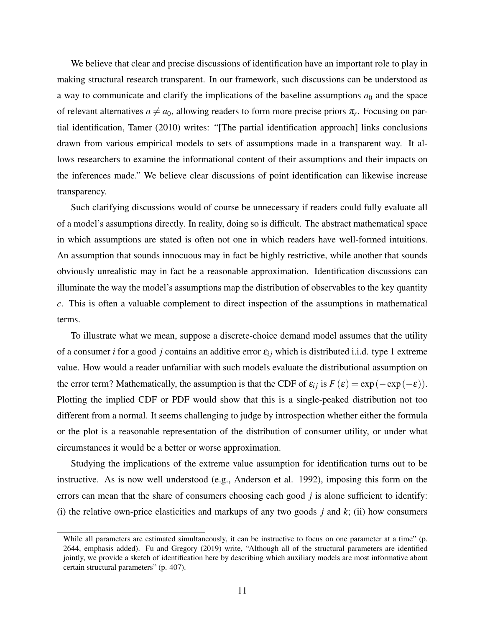We believe that clear and precise discussions of identification have an important role to play in making structural research transparent. In our framework, such discussions can be understood as a way to communicate and clarify the implications of the baseline assumptions  $a_0$  and the space of relevant alternatives  $a \neq a_0$ , allowing readers to form more precise priors  $\pi_r$ . Focusing on partial identification, Tamer (2010) writes: "[The partial identification approach] links conclusions drawn from various empirical models to sets of assumptions made in a transparent way. It allows researchers to examine the informational content of their assumptions and their impacts on the inferences made." We believe clear discussions of point identification can likewise increase transparency.

Such clarifying discussions would of course be unnecessary if readers could fully evaluate all of a model's assumptions directly. In reality, doing so is difficult. The abstract mathematical space in which assumptions are stated is often not one in which readers have well-formed intuitions. An assumption that sounds innocuous may in fact be highly restrictive, while another that sounds obviously unrealistic may in fact be a reasonable approximation. Identification discussions can illuminate the way the model's assumptions map the distribution of observables to the key quantity *c*. This is often a valuable complement to direct inspection of the assumptions in mathematical terms.

To illustrate what we mean, suppose a discrete-choice demand model assumes that the utility of a consumer *i* for a good *j* contains an additive error  $\varepsilon_{ij}$  which is distributed i.i.d. type 1 extreme value. How would a reader unfamiliar with such models evaluate the distributional assumption on the error term? Mathematically, the assumption is that the CDF of  $\varepsilon_{ij}$  is  $F(\varepsilon) = \exp(-\exp(-\varepsilon))$ . Plotting the implied CDF or PDF would show that this is a single-peaked distribution not too different from a normal. It seems challenging to judge by introspection whether either the formula or the plot is a reasonable representation of the distribution of consumer utility, or under what circumstances it would be a better or worse approximation.

Studying the implications of the extreme value assumption for identification turns out to be instructive. As is now well understood (e.g., Anderson et al. 1992), imposing this form on the errors can mean that the share of consumers choosing each good *j* is alone sufficient to identify: (i) the relative own-price elasticities and markups of any two goods *j* and *k*; (ii) how consumers

While all parameters are estimated simultaneously, it can be instructive to focus on one parameter at a time" (p. 2644, emphasis added). Fu and Gregory (2019) write, "Although all of the structural parameters are identified jointly, we provide a sketch of identification here by describing which auxiliary models are most informative about certain structural parameters" (p. 407).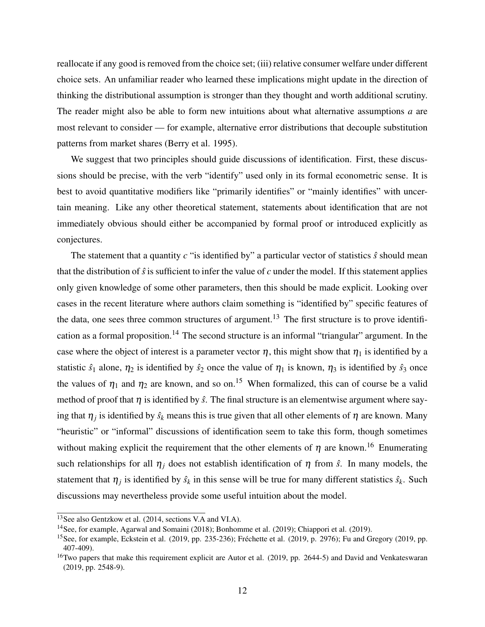reallocate if any good is removed from the choice set; (iii) relative consumer welfare under different choice sets. An unfamiliar reader who learned these implications might update in the direction of thinking the distributional assumption is stronger than they thought and worth additional scrutiny. The reader might also be able to form new intuitions about what alternative assumptions *a* are most relevant to consider — for example, alternative error distributions that decouple substitution patterns from market shares (Berry et al. 1995).

We suggest that two principles should guide discussions of identification. First, these discussions should be precise, with the verb "identify" used only in its formal econometric sense. It is best to avoid quantitative modifiers like "primarily identifies" or "mainly identifies" with uncertain meaning. Like any other theoretical statement, statements about identification that are not immediately obvious should either be accompanied by formal proof or introduced explicitly as conjectures.

The statement that a quantity  $c$  "is identified by" a particular vector of statistics  $\hat{s}$  should mean that the distribution of  $\hat{s}$  is sufficient to infer the value of  $c$  under the model. If this statement applies only given knowledge of some other parameters, then this should be made explicit. Looking over cases in the recent literature where authors claim something is "identified by" specific features of the data, one sees three common structures of argument.<sup>13</sup> The first structure is to prove identification as a formal proposition.<sup>14</sup> The second structure is an informal "triangular" argument. In the case where the object of interest is a parameter vector  $\eta$ , this might show that  $\eta_1$  is identified by a statistic  $\hat{s}_1$  alone,  $\eta_2$  is identified by  $\hat{s}_2$  once the value of  $\eta_1$  is known,  $\eta_3$  is identified by  $\hat{s}_3$  once the values of  $\eta_1$  and  $\eta_2$  are known, and so on.<sup>15</sup> When formalized, this can of course be a valid method of proof that  $\eta$  is identified by  $\hat{s}$ . The final structure is an elementwise argument where saying that  $\eta_j$  is identified by  $\hat{s}_k$  means this is true given that all other elements of  $\eta$  are known. Many "heuristic" or "informal" discussions of identification seem to take this form, though sometimes without making explicit the requirement that the other elements of  $\eta$  are known.<sup>16</sup> Enumerating such relationships for all  $\eta_i$  does not establish identification of  $\eta$  from  $\hat{s}$ . In many models, the statement that  $\eta_j$  is identified by  $\hat{s}_k$  in this sense will be true for many different statistics  $\hat{s}_k$ . Such discussions may nevertheless provide some useful intuition about the model.

<sup>13</sup>See also Gentzkow et al. (2014, sections V.A and VI.A).

<sup>&</sup>lt;sup>14</sup>See, for example, Agarwal and Somaini (2018); Bonhomme et al. (2019); Chiappori et al. (2019).

<sup>&</sup>lt;sup>15</sup>See, for example, Eckstein et al. (2019, pp. 235-236); Fréchette et al. (2019, p. 2976); Fu and Gregory (2019, pp. 407-409).

<sup>&</sup>lt;sup>16</sup>Two papers that make this requirement explicit are Autor et al. (2019, pp. 2644-5) and David and Venkateswaran (2019, pp. 2548-9).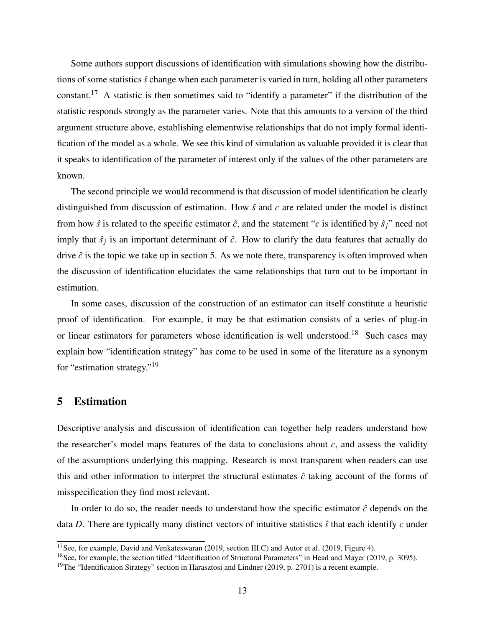Some authors support discussions of identification with simulations showing how the distributions of some statistics ˆ*s* change when each parameter is varied in turn, holding all other parameters constant.<sup>17</sup> A statistic is then sometimes said to "identify a parameter" if the distribution of the statistic responds strongly as the parameter varies. Note that this amounts to a version of the third argument structure above, establishing elementwise relationships that do not imply formal identification of the model as a whole. We see this kind of simulation as valuable provided it is clear that it speaks to identification of the parameter of interest only if the values of the other parameters are known.

The second principle we would recommend is that discussion of model identification be clearly distinguished from discussion of estimation. How ˆ*s* and *c* are related under the model is distinct from how  $\hat{s}$  is related to the specific estimator  $\hat{c}$ , and the statement "*c* is identified by  $\hat{s}_j$ " need not imply that  $\hat{s}_j$  is an important determinant of  $\hat{c}$ . How to clarify the data features that actually do drive  $\hat{c}$  is the topic we take up in section 5. As we note there, transparency is often improved when the discussion of identification elucidates the same relationships that turn out to be important in estimation.

In some cases, discussion of the construction of an estimator can itself constitute a heuristic proof of identification. For example, it may be that estimation consists of a series of plug-in or linear estimators for parameters whose identification is well understood.<sup>18</sup> Such cases may explain how "identification strategy" has come to be used in some of the literature as a synonym for "estimation strategy."<sup>19</sup>

### 5 Estimation

Descriptive analysis and discussion of identification can together help readers understand how the researcher's model maps features of the data to conclusions about *c*, and assess the validity of the assumptions underlying this mapping. Research is most transparent when readers can use this and other information to interpret the structural estimates  $\hat{c}$  taking account of the forms of misspecification they find most relevant.

In order to do so, the reader needs to understand how the specific estimator  $\hat{c}$  depends on the data *D*. There are typically many distinct vectors of intuitive statistics  $\hat{s}$  that each identify *c* under

 $\frac{17}{17}$ See, for example, David and Venkateswaran (2019, section III.C) and Autor et al. (2019, Figure 4).

<sup>&</sup>lt;sup>18</sup>See, for example, the section titled "Identification of Structural Parameters" in Head and Mayer (2019, p. 3095).

<sup>&</sup>lt;sup>19</sup>The "Identification Strategy" section in Harasztosi and Lindner (2019, p. 2701) is a recent example.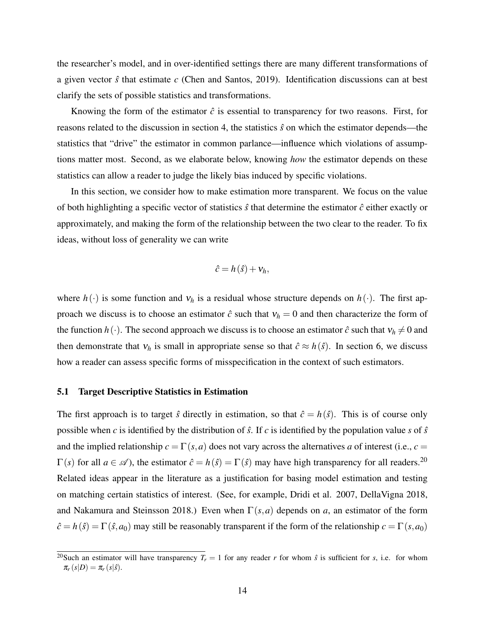the researcher's model, and in over-identified settings there are many different transformations of a given vector ˆ*s* that estimate *c* (Chen and Santos, 2019). Identification discussions can at best clarify the sets of possible statistics and transformations.

Knowing the form of the estimator  $\hat{c}$  is essential to transparency for two reasons. First, for reasons related to the discussion in section 4, the statistics ˆ*s* on which the estimator depends—the statistics that "drive" the estimator in common parlance—influence which violations of assumptions matter most. Second, as we elaborate below, knowing *how* the estimator depends on these statistics can allow a reader to judge the likely bias induced by specific violations.

In this section, we consider how to make estimation more transparent. We focus on the value of both highlighting a specific vector of statistics  $\hat{s}$  that determine the estimator  $\hat{c}$  either exactly or approximately, and making the form of the relationship between the two clear to the reader. To fix ideas, without loss of generality we can write

$$
\hat{c}=h(\hat{s})+v_h,
$$

where  $h(\cdot)$  is some function and  $v_h$  is a residual whose structure depends on  $h(\cdot)$ . The first approach we discuss is to choose an estimator  $\hat{c}$  such that  $v_h = 0$  and then characterize the form of the function  $h(\cdot)$ . The second approach we discuss is to choose an estimator  $\hat{c}$  such that  $v_h \neq 0$  and then demonstrate that  $v_h$  is small in appropriate sense so that  $\hat{c} \approx h(\hat{s})$ . In section 6, we discuss how a reader can assess specific forms of misspecification in the context of such estimators.

### 5.1 Target Descriptive Statistics in Estimation

The first approach is to target  $\hat{s}$  directly in estimation, so that  $\hat{c} = h(\hat{s})$ . This is of course only possible when *c* is identified by the distribution of  $\hat{s}$ . If *c* is identified by the population value *s* of  $\hat{s}$ and the implied relationship  $c = \Gamma(s, a)$  does not vary across the alternatives *a* of interest (i.e.,  $c =$  $\Gamma(s)$  for all  $a \in \mathscr{A}$ ), the estimator  $\hat{c} = h(\hat{s}) = \Gamma(\hat{s})$  may have high transparency for all readers.<sup>20</sup> Related ideas appear in the literature as a justification for basing model estimation and testing on matching certain statistics of interest. (See, for example, Dridi et al. 2007, DellaVigna 2018, and Nakamura and Steinsson 2018.) Even when Γ(*s*,*a*) depends on *a*, an estimator of the form  $\hat{c} = h(\hat{s}) = \Gamma(\hat{s}, a_0)$  may still be reasonably transparent if the form of the relationship  $c = \Gamma(s, a_0)$ 

<sup>&</sup>lt;sup>20</sup>Such an estimator will have transparency  $T_r = 1$  for any reader *r* for whom  $\hat{s}$  is sufficient for *s*, i.e. for whom  $\pi_r(s|D) = \pi_r(s|\hat{s}).$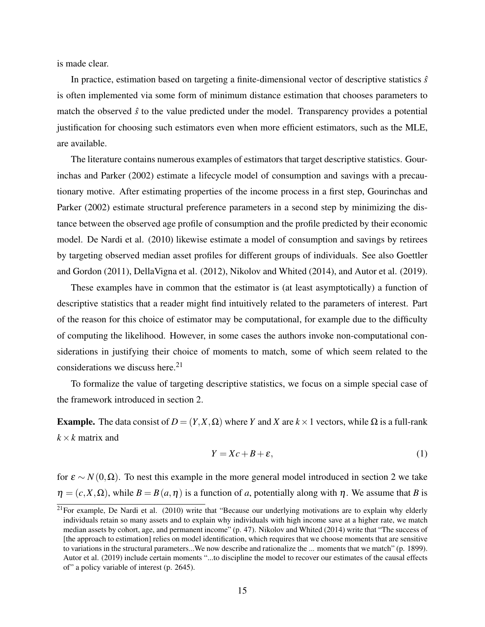is made clear.

In practice, estimation based on targeting a finite-dimensional vector of descriptive statistics  $\hat{s}$ is often implemented via some form of minimum distance estimation that chooses parameters to match the observed  $\hat{s}$  to the value predicted under the model. Transparency provides a potential justification for choosing such estimators even when more efficient estimators, such as the MLE, are available.

The literature contains numerous examples of estimators that target descriptive statistics. Gourinchas and Parker (2002) estimate a lifecycle model of consumption and savings with a precautionary motive. After estimating properties of the income process in a first step, Gourinchas and Parker (2002) estimate structural preference parameters in a second step by minimizing the distance between the observed age profile of consumption and the profile predicted by their economic model. De Nardi et al. (2010) likewise estimate a model of consumption and savings by retirees by targeting observed median asset profiles for different groups of individuals. See also Goettler and Gordon (2011), DellaVigna et al. (2012), Nikolov and Whited (2014), and Autor et al. (2019).

These examples have in common that the estimator is (at least asymptotically) a function of descriptive statistics that a reader might find intuitively related to the parameters of interest. Part of the reason for this choice of estimator may be computational, for example due to the difficulty of computing the likelihood. However, in some cases the authors invoke non-computational considerations in justifying their choice of moments to match, some of which seem related to the considerations we discuss here.<sup>21</sup>

To formalize the value of targeting descriptive statistics, we focus on a simple special case of the framework introduced in section 2.

Example. The data consist of *D* =  $(Y, X, \Omega)$  where *Y* and *X* are *k* × 1 vectors, while  $\Omega$  is a full-rank  $k \times k$  matrix and

$$
Y = Xc + B + \varepsilon,\tag{1}
$$

for  $\varepsilon \sim N(0, \Omega)$ . To nest this example in the more general model introduced in section 2 we take  $\eta = (c, X, \Omega)$ , while  $B = B(a, \eta)$  is a function of *a*, potentially along with  $\eta$ . We assume that *B* is

 $21$ For example, De Nardi et al. (2010) write that "Because our underlying motivations are to explain why elderly individuals retain so many assets and to explain why individuals with high income save at a higher rate, we match median assets by cohort, age, and permanent income" (p. 47). Nikolov and Whited (2014) write that "The success of [the approach to estimation] relies on model identification, which requires that we choose moments that are sensitive to variations in the structural parameters...We now describe and rationalize the ... moments that we match" (p. 1899). Autor et al. (2019) include certain moments "...to discipline the model to recover our estimates of the causal effects of" a policy variable of interest (p. 2645).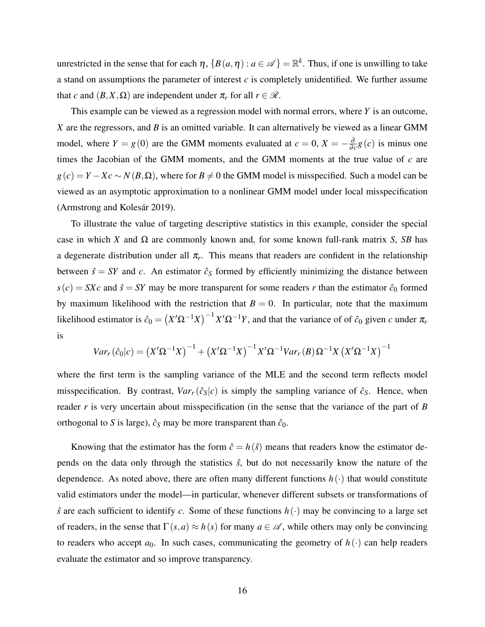unrestricted in the sense that for each  $\eta$ ,  $\{B(a, \eta) : a \in \mathcal{A}\} = \mathbb{R}^k$ . Thus, if one is unwilling to take a stand on assumptions the parameter of interest *c* is completely unidentified. We further assume that *c* and  $(B, X, \Omega)$  are independent under  $\pi_r$  for all  $r \in \mathcal{R}$ .

This example can be viewed as a regression model with normal errors, where *Y* is an outcome, *X* are the regressors, and *B* is an omitted variable. It can alternatively be viewed as a linear GMM model, where  $Y = g(0)$  are the GMM moments evaluated at  $c = 0, X = -\frac{\partial}{\partial \theta}$  $\frac{\partial}{\partial c}g(c)$  is minus one times the Jacobian of the GMM moments, and the GMM moments at the true value of *c* are  $g(c) = Y - Xc \sim N(B, \Omega)$ , where for  $B \neq 0$  the GMM model is misspecified. Such a model can be viewed as an asymptotic approximation to a nonlinear GMM model under local misspecification (Armstrong and Kolesár 2019).

To illustrate the value of targeting descriptive statistics in this example, consider the special case in which *X* and  $\Omega$  are commonly known and, for some known full-rank matrix *S*, *SB* has a degenerate distribution under all  $\pi_r$ . This means that readers are confident in the relationship between  $\hat{s} = SY$  and *c*. An estimator  $\hat{c}_S$  formed by efficiently minimizing the distance between  $s(c) = SXc$  and  $\hat{s} = SY$  may be more transparent for some readers *r* than the estimator  $\hat{c}_0$  formed by maximum likelihood with the restriction that  $B = 0$ . In particular, note that the maximum likelihood estimator is  $\hat{c}_0 = (X'\Omega^{-1}X)^{-1}X'\Omega^{-1}Y$ , and that the variance of of  $\hat{c}_0$  given *c* under  $\pi_r$ is

$$
Var_r(\hat{c}_0|c) = (X'\Omega^{-1}X)^{-1} + (X'\Omega^{-1}X)^{-1}X'\Omega^{-1}Var_r(B)\Omega^{-1}X(X'\Omega^{-1}X)^{-1}
$$

where the first term is the sampling variance of the MLE and the second term reflects model misspecification. By contrast,  $Var_r(\hat{c}_s|c)$  is simply the sampling variance of  $\hat{c}_s$ . Hence, when reader *r* is very uncertain about misspecification (in the sense that the variance of the part of *B* orthogonal to *S* is large),  $\hat{c}_s$  may be more transparent than  $\hat{c}_0$ .

Knowing that the estimator has the form  $\hat{c} = h(\hat{s})$  means that readers know the estimator depends on the data only through the statistics  $\hat{s}$ , but do not necessarily know the nature of the dependence. As noted above, there are often many different functions  $h(\cdot)$  that would constitute valid estimators under the model—in particular, whenever different subsets or transformations of  $\hat{s}$  are each sufficient to identify *c*. Some of these functions  $h(\cdot)$  may be convincing to a large set of readers, in the sense that  $\Gamma(s, a) \approx h(s)$  for many  $a \in \mathcal{A}$ , while others may only be convincing to readers who accept  $a_0$ . In such cases, communicating the geometry of  $h(\cdot)$  can help readers evaluate the estimator and so improve transparency.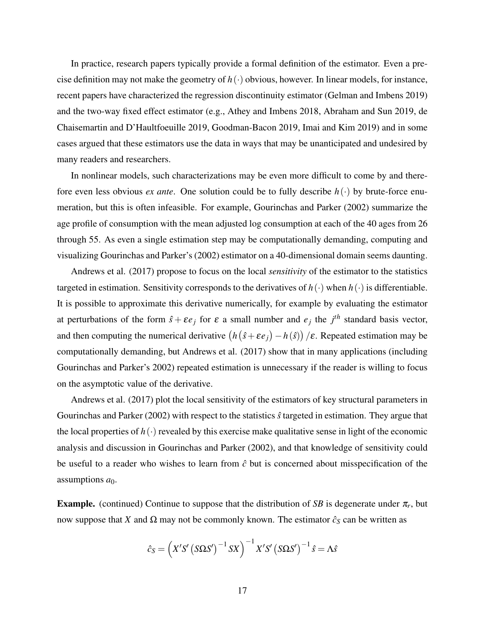In practice, research papers typically provide a formal definition of the estimator. Even a precise definition may not make the geometry of  $h(\cdot)$  obvious, however. In linear models, for instance, recent papers have characterized the regression discontinuity estimator (Gelman and Imbens 2019) and the two-way fixed effect estimator (e.g., Athey and Imbens 2018, Abraham and Sun 2019, de Chaisemartin and D'Haultfoeuille 2019, Goodman-Bacon 2019, Imai and Kim 2019) and in some cases argued that these estimators use the data in ways that may be unanticipated and undesired by many readers and researchers.

In nonlinear models, such characterizations may be even more difficult to come by and therefore even less obvious *ex ante*. One solution could be to fully describe *h*(·) by brute-force enumeration, but this is often infeasible. For example, Gourinchas and Parker (2002) summarize the age profile of consumption with the mean adjusted log consumption at each of the 40 ages from 26 through 55. As even a single estimation step may be computationally demanding, computing and visualizing Gourinchas and Parker's (2002) estimator on a 40-dimensional domain seems daunting.

Andrews et al. (2017) propose to focus on the local *sensitivity* of the estimator to the statistics targeted in estimation. Sensitivity corresponds to the derivatives of  $h(\cdot)$  when  $h(\cdot)$  is differentiable. It is possible to approximate this derivative numerically, for example by evaluating the estimator at perturbations of the form  $\hat{s} + \varepsilon e_j$  for  $\varepsilon$  a small number and  $e_j$  the  $j<sup>th</sup>$  standard basis vector, and then computing the numerical derivative  $(h(\hat{s} + \varepsilon e_j) - h(\hat{s})) / \varepsilon$ . Repeated estimation may be computationally demanding, but Andrews et al. (2017) show that in many applications (including Gourinchas and Parker's 2002) repeated estimation is unnecessary if the reader is willing to focus on the asymptotic value of the derivative.

Andrews et al. (2017) plot the local sensitivity of the estimators of key structural parameters in Gourinchas and Parker (2002) with respect to the statistics ˆ*s* targeted in estimation. They argue that the local properties of  $h(\cdot)$  revealed by this exercise make qualitative sense in light of the economic analysis and discussion in Gourinchas and Parker (2002), and that knowledge of sensitivity could be useful to a reader who wishes to learn from  $\hat{c}$  but is concerned about misspecification of the assumptions  $a_0$ .

**Example.** (continued) Continue to suppose that the distribution of *SB* is degenerate under  $\pi_r$ , but now suppose that *X* and  $Ω$  may not be commonly known. The estimator  $\hat{c}_s$  can be written as

$$
\hat{c}_S = \left(X'S'\left(S\Omega S'\right)^{-1}SX\right)^{-1}X'S'\left(S\Omega S'\right)^{-1}\hat{s} = \Lambda\hat{s}
$$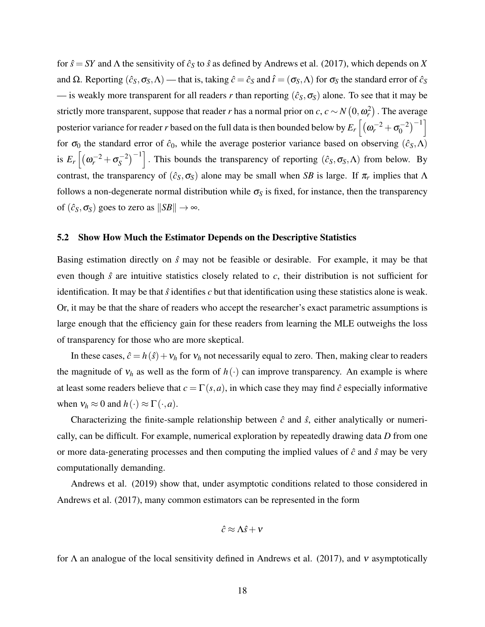for  $\hat{s} = SY$  and  $\Lambda$  the sensitivity of  $\hat{c}_S$  to  $\hat{s}$  as defined by Andrews et al. (2017), which depends on *X* and  $\Omega$ . Reporting  $(\hat{c}_S, \sigma_S, \Lambda)$  — that is, taking  $\hat{c} = \hat{c}_S$  and  $\hat{t} = (\sigma_S, \Lambda)$  for  $\sigma_S$  the standard error of  $\hat{c}_S$ — is weakly more transparent for all readers *r* than reporting  $(\hat{c}_S, \sigma_S)$  alone. To see that it may be strictly more transparent, suppose that reader *r* has a normal prior on *c*,  $c \sim N\left(0, \omega_r^2\right)$  . The average posterior variance for reader *r* based on the full data is then bounded below by  $E_r\left[(\omega_r^{-2}+\sigma_0^{-2})\right]$  $\binom{-2}{0}^{-1}$ for  $\sigma_0$  the standard error of  $\hat{c}_0$ , while the average posterior variance based on observing  $(\hat{c}_S, \Lambda)$ is  $E_r \left[ (\omega_r^{-2} + \sigma_s^{-2}) \right]$  $\binom{(-2)}{S}$ <sup>-1</sup>. This bounds the transparency of reporting  $(\hat{c}_S, \sigma_S, \Lambda)$  from below. By contrast, the transparency of  $(\hat{c}_S, \sigma_S)$  alone may be small when *SB* is large. If  $\pi_r$  implies that  $\Lambda$ follows a non-degenerate normal distribution while  $\sigma_S$  is fixed, for instance, then the transparency of  $(\hat{c}_S, \sigma_S)$  goes to zero as  $||SB|| \rightarrow \infty$ .

### 5.2 Show How Much the Estimator Depends on the Descriptive Statistics

Basing estimation directly on ˆ*s* may not be feasible or desirable. For example, it may be that even though  $\hat{s}$  are intuitive statistics closely related to  $c$ , their distribution is not sufficient for identification. It may be that  $\hat{s}$  identifies  $c$  but that identification using these statistics alone is weak. Or, it may be that the share of readers who accept the researcher's exact parametric assumptions is large enough that the efficiency gain for these readers from learning the MLE outweighs the loss of transparency for those who are more skeptical.

In these cases,  $\hat{c} = h(\hat{s}) + v_h$  for  $v_h$  not necessarily equal to zero. Then, making clear to readers the magnitude of  $v_h$  as well as the form of  $h(\cdot)$  can improve transparency. An example is where at least some readers believe that  $c = \Gamma(s, a)$ , in which case they may find  $\hat{c}$  especially informative when  $v_h \approx 0$  and  $h(\cdot) \approx \Gamma(\cdot, a)$ .

Characterizing the finite-sample relationship between  $\hat{c}$  and  $\hat{s}$ , either analytically or numerically, can be difficult. For example, numerical exploration by repeatedly drawing data *D* from one or more data-generating processes and then computing the implied values of  $\hat{c}$  and  $\hat{s}$  may be very computationally demanding.

Andrews et al. (2019) show that, under asymptotic conditions related to those considered in Andrews et al. (2017), many common estimators can be represented in the form

$$
\hat{c} \approx \Lambda \hat{s} + v
$$

for  $\Lambda$  an analogue of the local sensitivity defined in Andrews et al. (2017), and  $\nu$  asymptotically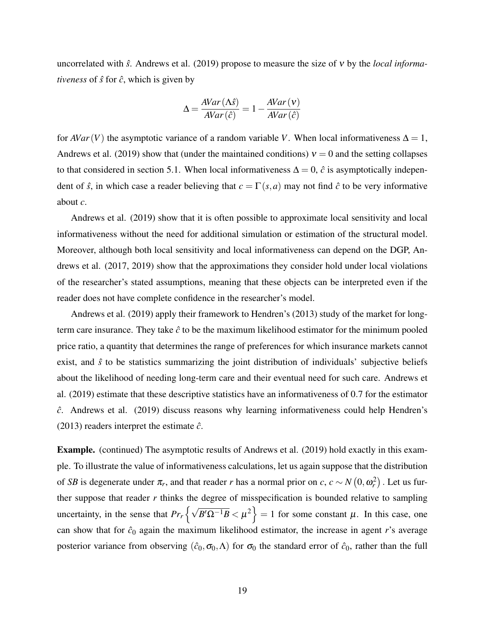uncorrelated with ˆ*s*. Andrews et al. (2019) propose to measure the size of ν by the *local informativeness* of  $\hat{s}$  for  $\hat{c}$ , which is given by

$$
\Delta = \frac{AVar(\Lambda \hat{s})}{AVar(\hat{c})} = 1 - \frac{AVar(v)}{AVar(\hat{c})}
$$

for *AVar*(*V*) the asymptotic variance of a random variable *V*. When local informativeness  $\Delta = 1$ , Andrews et al. (2019) show that (under the maintained conditions)  $v = 0$  and the setting collapses to that considered in section 5.1. When local informativeness  $\Delta = 0$ ,  $\hat{c}$  is asymptotically independent of  $\hat{s}$ , in which case a reader believing that  $c = \Gamma(s, a)$  may not find  $\hat{c}$  to be very informative about *c*.

Andrews et al. (2019) show that it is often possible to approximate local sensitivity and local informativeness without the need for additional simulation or estimation of the structural model. Moreover, although both local sensitivity and local informativeness can depend on the DGP, Andrews et al. (2017, 2019) show that the approximations they consider hold under local violations of the researcher's stated assumptions, meaning that these objects can be interpreted even if the reader does not have complete confidence in the researcher's model.

Andrews et al. (2019) apply their framework to Hendren's (2013) study of the market for longterm care insurance. They take  $\hat{c}$  to be the maximum likelihood estimator for the minimum pooled price ratio, a quantity that determines the range of preferences for which insurance markets cannot exist, and  $\hat{s}$  to be statistics summarizing the joint distribution of individuals' subjective beliefs about the likelihood of needing long-term care and their eventual need for such care. Andrews et al. (2019) estimate that these descriptive statistics have an informativeness of 0.7 for the estimator *c*ˆ. Andrews et al. (2019) discuss reasons why learning informativeness could help Hendren's (2013) readers interpret the estimate  $\hat{c}$ .

Example. (continued) The asymptotic results of Andrews et al. (2019) hold exactly in this example. To illustrate the value of informativeness calculations, let us again suppose that the distribution of *SB* is degenerate under  $\pi_r$ , and that reader *r* has a normal prior on *c*,  $c \sim N(0, \omega_r^2)$ . Let us further suppose that reader  $r$  thinks the degree of misspecification is bounded relative to sampling uncertainty, in the sense that  $Pr_r \left\{ \sqrt{B'\Omega^{-1}B} < \mu^2 \right\} = 1$  for some constant  $\mu$ . In this case, one can show that for  $\hat{c}_0$  again the maximum likelihood estimator, the increase in agent *r*'s average posterior variance from observing  $(\hat{c}_0, \sigma_0, \Lambda)$  for  $\sigma_0$  the standard error of  $\hat{c}_0$ , rather than the full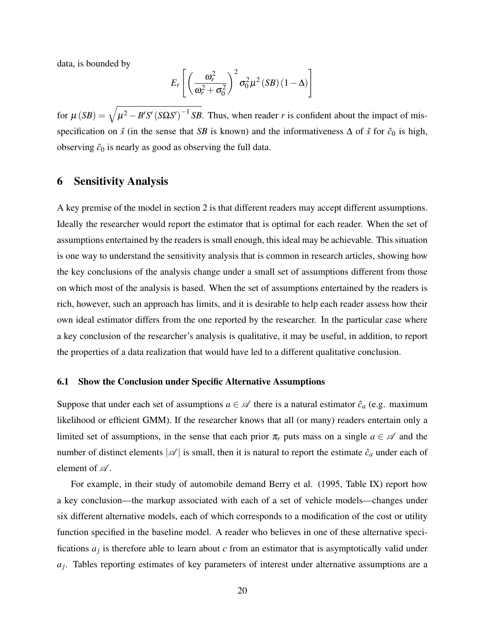data, is bounded by

$$
E_r\left[\left(\frac{\omega_r^2}{\omega_r^2+\sigma_0^2}\right)^2\sigma_0^2\mu^2\left(SB\right)\left(1-\Delta\right)\right]
$$

for  $\mu$  (*SB*) =  $\sqrt{\mu^2 - B'S' (S\Omega S')^{-1} SB}$ . Thus, when reader *r* is confident about the impact of misspecification on  $\hat{s}$  (in the sense that *SB* is known) and the informativeness  $\Delta$  of  $\hat{s}$  for  $\hat{c}_0$  is high, observing  $\hat{c}_0$  is nearly as good as observing the full data.

# 6 Sensitivity Analysis

A key premise of the model in section 2 is that different readers may accept different assumptions. Ideally the researcher would report the estimator that is optimal for each reader. When the set of assumptions entertained by the readers is small enough, this ideal may be achievable. This situation is one way to understand the sensitivity analysis that is common in research articles, showing how the key conclusions of the analysis change under a small set of assumptions different from those on which most of the analysis is based. When the set of assumptions entertained by the readers is rich, however, such an approach has limits, and it is desirable to help each reader assess how their own ideal estimator differs from the one reported by the researcher. In the particular case where a key conclusion of the researcher's analysis is qualitative, it may be useful, in addition, to report the properties of a data realization that would have led to a different qualitative conclusion.

### 6.1 Show the Conclusion under Specific Alternative Assumptions

Suppose that under each set of assumptions  $a \in \mathcal{A}$  there is a natural estimator  $\hat{c}_a$  (e.g. maximum likelihood or efficient GMM). If the researcher knows that all (or many) readers entertain only a limited set of assumptions, in the sense that each prior  $\pi_r$  puts mass on a single  $a \in \mathcal{A}$  and the number of distinct elements  $|\mathcal{A}|$  is small, then it is natural to report the estimate  $\hat{c}_a$  under each of element of  $\mathscr A$ .

For example, in their study of automobile demand Berry et al. (1995, Table IX) report how a key conclusion—the markup associated with each of a set of vehicle models—changes under six different alternative models, each of which corresponds to a modification of the cost or utility function specified in the baseline model. A reader who believes in one of these alternative specifications *a<sup>j</sup>* is therefore able to learn about *c* from an estimator that is asymptotically valid under *aj* . Tables reporting estimates of key parameters of interest under alternative assumptions are a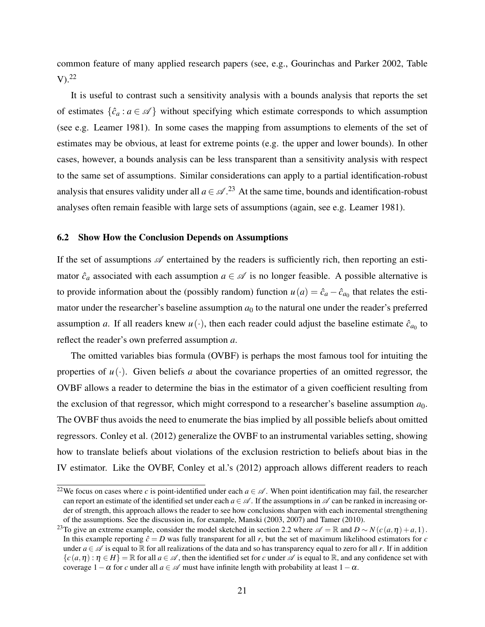common feature of many applied research papers (see, e.g., Gourinchas and Parker 2002, Table  $V<sup>22</sup>$ 

It is useful to contrast such a sensitivity analysis with a bounds analysis that reports the set of estimates  $\{\hat{c}_a : a \in \mathcal{A}\}\$  without specifying which estimate corresponds to which assumption (see e.g. Leamer 1981). In some cases the mapping from assumptions to elements of the set of estimates may be obvious, at least for extreme points (e.g. the upper and lower bounds). In other cases, however, a bounds analysis can be less transparent than a sensitivity analysis with respect to the same set of assumptions. Similar considerations can apply to a partial identification-robust analysis that ensures validity under all  $a \in \mathcal{A}$ .<sup>23</sup> At the same time, bounds and identification-robust analyses often remain feasible with large sets of assumptions (again, see e.g. Leamer 1981).

### 6.2 Show How the Conclusion Depends on Assumptions

If the set of assumptions  $\mathscr A$  entertained by the readers is sufficiently rich, then reporting an estimator  $\hat{c}_a$  associated with each assumption  $a \in \mathcal{A}$  is no longer feasible. A possible alternative is to provide information about the (possibly random) function  $u(a) = \hat{c}_a - \hat{c}_{a_0}$  that relates the estimator under the researcher's baseline assumption  $a_0$  to the natural one under the reader's preferred assumption *a*. If all readers knew  $u(\cdot)$ , then each reader could adjust the baseline estimate  $\hat{c}_{a_0}$  to reflect the reader's own preferred assumption *a*.

The omitted variables bias formula (OVBF) is perhaps the most famous tool for intuiting the properties of  $u(\cdot)$ . Given beliefs *a* about the covariance properties of an omitted regressor, the OVBF allows a reader to determine the bias in the estimator of a given coefficient resulting from the exclusion of that regressor, which might correspond to a researcher's baseline assumption  $a_0$ . The OVBF thus avoids the need to enumerate the bias implied by all possible beliefs about omitted regressors. Conley et al. (2012) generalize the OVBF to an instrumental variables setting, showing how to translate beliefs about violations of the exclusion restriction to beliefs about bias in the IV estimator. Like the OVBF, Conley et al.'s (2012) approach allows different readers to reach

<sup>&</sup>lt;sup>22</sup>We focus on cases where *c* is point-identified under each  $a \in \mathcal{A}$ . When point identification may fail, the researcher can report an estimate of the identified set under each  $a \in \mathcal{A}$ . If the assumptions in  $\mathcal{A}$  can be ranked in increasing order of strength, this approach allows the reader to see how conclusions sharpen with each incremental strengthening of the assumptions. See the discussion in, for example, Manski (2003, 2007) and Tamer (2010).

<sup>&</sup>lt;sup>23</sup>To give an extreme example, consider the model sketched in section 2.2 where  $\mathscr{A} = \mathbb{R}$  and  $D \sim N(c(a, \eta) + a, 1)$ . In this example reporting  $\hat{c} = D$  was fully transparent for all r, but the set of maximum likelihood estimators for *c* under  $a \in \mathcal{A}$  is equal to  $\mathbb R$  for all realizations of the data and so has transparency equal to zero for all *r*. If in addition  ${c(a, \eta): \eta \in H} = \mathbb{R}$  for all  $a \in \mathcal{A}$ , then the identified set for *c* under  $\mathcal{A}$  is equal to  $\mathbb{R}$ , and any confidence set with coverage  $1-\alpha$  for *c* under all  $a \in \mathcal{A}$  must have infinite length with probability at least  $1-\alpha$ .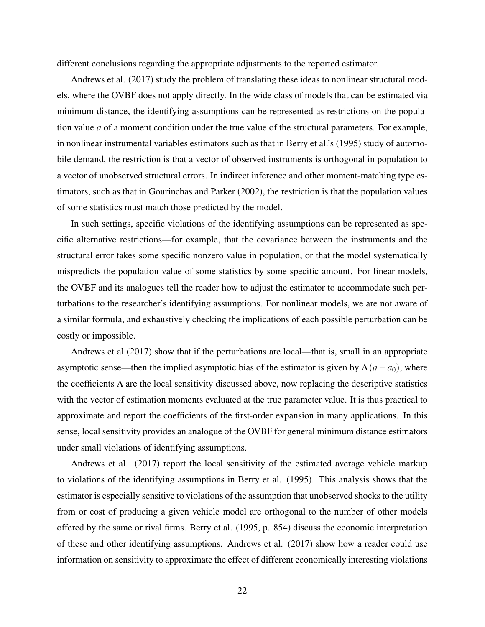different conclusions regarding the appropriate adjustments to the reported estimator.

Andrews et al. (2017) study the problem of translating these ideas to nonlinear structural models, where the OVBF does not apply directly. In the wide class of models that can be estimated via minimum distance, the identifying assumptions can be represented as restrictions on the population value *a* of a moment condition under the true value of the structural parameters. For example, in nonlinear instrumental variables estimators such as that in Berry et al.'s (1995) study of automobile demand, the restriction is that a vector of observed instruments is orthogonal in population to a vector of unobserved structural errors. In indirect inference and other moment-matching type estimators, such as that in Gourinchas and Parker (2002), the restriction is that the population values of some statistics must match those predicted by the model.

In such settings, specific violations of the identifying assumptions can be represented as specific alternative restrictions—for example, that the covariance between the instruments and the structural error takes some specific nonzero value in population, or that the model systematically mispredicts the population value of some statistics by some specific amount. For linear models, the OVBF and its analogues tell the reader how to adjust the estimator to accommodate such perturbations to the researcher's identifying assumptions. For nonlinear models, we are not aware of a similar formula, and exhaustively checking the implications of each possible perturbation can be costly or impossible.

Andrews et al (2017) show that if the perturbations are local—that is, small in an appropriate asymptotic sense—then the implied asymptotic bias of the estimator is given by  $\Lambda(a-a_0)$ , where the coefficients  $\Lambda$  are the local sensitivity discussed above, now replacing the descriptive statistics with the vector of estimation moments evaluated at the true parameter value. It is thus practical to approximate and report the coefficients of the first-order expansion in many applications. In this sense, local sensitivity provides an analogue of the OVBF for general minimum distance estimators under small violations of identifying assumptions.

Andrews et al. (2017) report the local sensitivity of the estimated average vehicle markup to violations of the identifying assumptions in Berry et al. (1995). This analysis shows that the estimator is especially sensitive to violations of the assumption that unobserved shocks to the utility from or cost of producing a given vehicle model are orthogonal to the number of other models offered by the same or rival firms. Berry et al. (1995, p. 854) discuss the economic interpretation of these and other identifying assumptions. Andrews et al. (2017) show how a reader could use information on sensitivity to approximate the effect of different economically interesting violations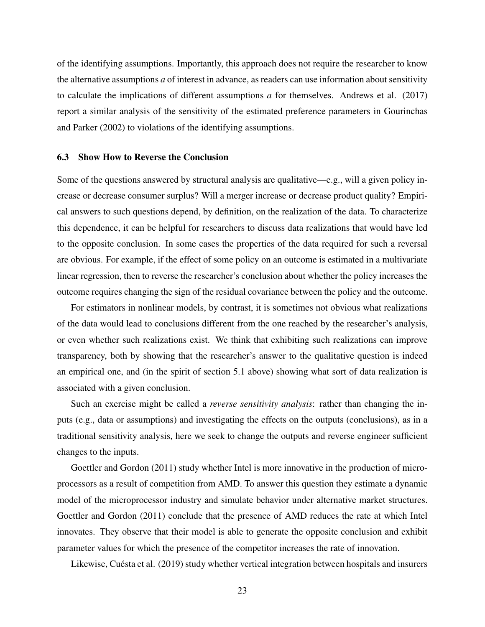of the identifying assumptions. Importantly, this approach does not require the researcher to know the alternative assumptions *a* of interest in advance, as readers can use information about sensitivity to calculate the implications of different assumptions *a* for themselves. Andrews et al. (2017) report a similar analysis of the sensitivity of the estimated preference parameters in Gourinchas and Parker (2002) to violations of the identifying assumptions.

### 6.3 Show How to Reverse the Conclusion

Some of the questions answered by structural analysis are qualitative—e.g., will a given policy increase or decrease consumer surplus? Will a merger increase or decrease product quality? Empirical answers to such questions depend, by definition, on the realization of the data. To characterize this dependence, it can be helpful for researchers to discuss data realizations that would have led to the opposite conclusion. In some cases the properties of the data required for such a reversal are obvious. For example, if the effect of some policy on an outcome is estimated in a multivariate linear regression, then to reverse the researcher's conclusion about whether the policy increases the outcome requires changing the sign of the residual covariance between the policy and the outcome.

For estimators in nonlinear models, by contrast, it is sometimes not obvious what realizations of the data would lead to conclusions different from the one reached by the researcher's analysis, or even whether such realizations exist. We think that exhibiting such realizations can improve transparency, both by showing that the researcher's answer to the qualitative question is indeed an empirical one, and (in the spirit of section 5.1 above) showing what sort of data realization is associated with a given conclusion.

Such an exercise might be called a *reverse sensitivity analysis*: rather than changing the inputs (e.g., data or assumptions) and investigating the effects on the outputs (conclusions), as in a traditional sensitivity analysis, here we seek to change the outputs and reverse engineer sufficient changes to the inputs.

Goettler and Gordon (2011) study whether Intel is more innovative in the production of microprocessors as a result of competition from AMD. To answer this question they estimate a dynamic model of the microprocessor industry and simulate behavior under alternative market structures. Goettler and Gordon (2011) conclude that the presence of AMD reduces the rate at which Intel innovates. They observe that their model is able to generate the opposite conclusion and exhibit parameter values for which the presence of the competitor increases the rate of innovation.

Likewise, Cuésta et al. (2019) study whether vertical integration between hospitals and insurers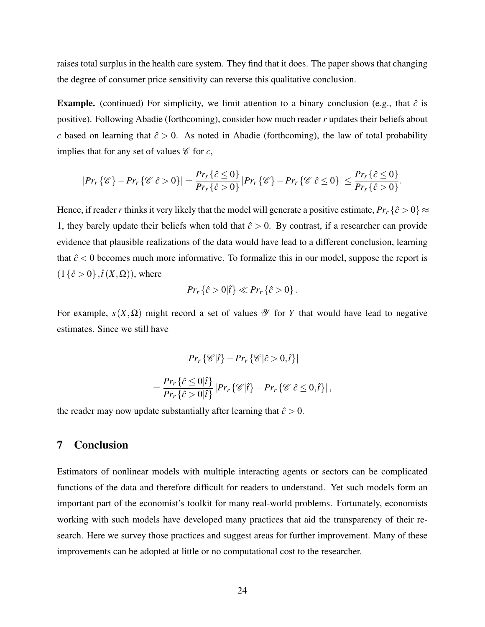raises total surplus in the health care system. They find that it does. The paper shows that changing the degree of consumer price sensitivity can reverse this qualitative conclusion.

**Example.** (continued) For simplicity, we limit attention to a binary conclusion (e.g., that  $\hat{c}$  is positive). Following Abadie (forthcoming), consider how much reader *r* updates their beliefs about *c* based on learning that  $\hat{c} > 0$ . As noted in Abadie (forthcoming), the law of total probability implies that for any set of values  $\mathscr C$  for  $c$ ,

$$
|Pr_r\{\mathscr{C}\}-Pr_r\{\mathscr{C}|\hat{c}>0\}|=\frac{Pr_r\{\hat{c}\leq 0\}}{Pr_r\{\hat{c}>0\}}|Pr_r\{\mathscr{C}\}-Pr_r\{\mathscr{C}|\hat{c}\leq 0\}|\leq \frac{Pr_r\{\hat{c}\leq 0\}}{Pr_r\{\hat{c}>0\}}.
$$

Hence, if reader *r* thinks it very likely that the model will generate a positive estimate,  $Pr_r\{\hat{c} > 0\} \approx$ 1, they barely update their beliefs when told that  $\hat{c} > 0$ . By contrast, if a researcher can provide evidence that plausible realizations of the data would have lead to a different conclusion, learning that  $\hat{c}$  < 0 becomes much more informative. To formalize this in our model, suppose the report is  $(1{\hat c} > 0$ ,  $\hat{t}(X, \Omega)$ , where

$$
Pr_r\{\hat{c} > 0|\hat{t}\} \ll Pr_r\{\hat{c} > 0\}.
$$

For example,  $s(X, \Omega)$  might record a set of values  $\mathscr Y$  for *Y* that would have lead to negative estimates. Since we still have

$$
|Pr_r \{\mathscr{C} | \hat{t}\} - Pr_r \{\mathscr{C} | \hat{c} > 0, \hat{t}\} |
$$
  
= 
$$
\frac{Pr_r \{\hat{c} \le 0 | \hat{t}\}}{Pr_r \{\hat{c} > 0 | \hat{t}\}} |Pr_r \{\mathscr{C} | \hat{t}\} - Pr_r \{\mathscr{C} | \hat{c} \le 0, \hat{t}\} |,
$$

the reader may now update substantially after learning that  $\hat{c} > 0$ .

# 7 Conclusion

Estimators of nonlinear models with multiple interacting agents or sectors can be complicated functions of the data and therefore difficult for readers to understand. Yet such models form an important part of the economist's toolkit for many real-world problems. Fortunately, economists working with such models have developed many practices that aid the transparency of their research. Here we survey those practices and suggest areas for further improvement. Many of these improvements can be adopted at little or no computational cost to the researcher.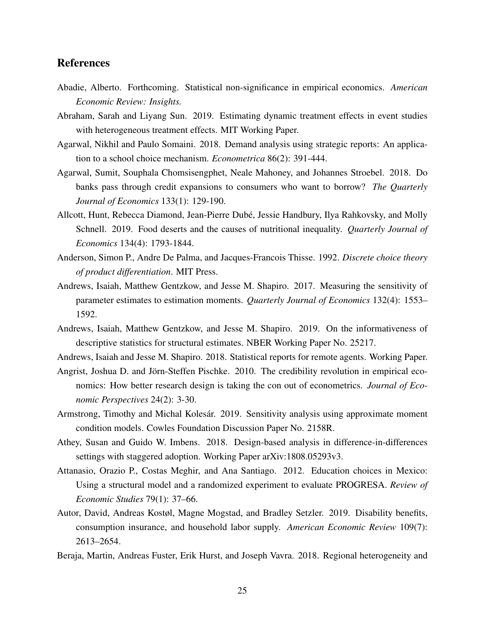## References

- Abadie, Alberto. Forthcoming. Statistical non-significance in empirical economics. *American Economic Review: Insights.*
- Abraham, Sarah and Liyang Sun. 2019. Estimating dynamic treatment effects in event studies with heterogeneous treatment effects. MIT Working Paper.
- Agarwal, Nikhil and Paulo Somaini. 2018. Demand analysis using strategic reports: An application to a school choice mechanism. *Econometrica* 86(2): 391-444.
- Agarwal, Sumit, Souphala Chomsisengphet, Neale Mahoney, and Johannes Stroebel. 2018. Do banks pass through credit expansions to consumers who want to borrow? *The Quarterly Journal of Economics* 133(1): 129-190.
- Allcott, Hunt, Rebecca Diamond, Jean-Pierre Dubé, Jessie Handbury, Ilya Rahkovsky, and Molly Schnell. 2019. Food deserts and the causes of nutritional inequality. *Quarterly Journal of Economics* 134(4): 1793-1844.
- Anderson, Simon P., Andre De Palma, and Jacques-Francois Thisse. 1992. *Discrete choice theory of product differentiation*. MIT Press.
- Andrews, Isaiah, Matthew Gentzkow, and Jesse M. Shapiro. 2017. Measuring the sensitivity of parameter estimates to estimation moments. *Quarterly Journal of Economics* 132(4): 1553– 1592.
- Andrews, Isaiah, Matthew Gentzkow, and Jesse M. Shapiro. 2019. On the informativeness of descriptive statistics for structural estimates. NBER Working Paper No. 25217.
- Andrews, Isaiah and Jesse M. Shapiro. 2018. Statistical reports for remote agents. Working Paper.
- Angrist, Joshua D. and Jörn-Steffen Pischke. 2010. The credibility revolution in empirical economics: How better research design is taking the con out of econometrics. *Journal of Economic Perspectives* 24(2): 3-30.
- Armstrong, Timothy and Michal Kolesár. 2019. Sensitivity analysis using approximate moment condition models. Cowles Foundation Discussion Paper No. 2158R.
- Athey, Susan and Guido W. Imbens. 2018. Design-based analysis in difference-in-differences settings with staggered adoption. Working Paper arXiv:1808.05293v3.
- Attanasio, Orazio P., Costas Meghir, and Ana Santiago. 2012. Education choices in Mexico: Using a structural model and a randomized experiment to evaluate PROGRESA. *Review of Economic Studies* 79(1): 37–66.
- Autor, David, Andreas Kostøl, Magne Mogstad, and Bradley Setzler. 2019. Disability benefits, consumption insurance, and household labor supply. *American Economic Review* 109(7): 2613–2654.
- Beraja, Martin, Andreas Fuster, Erik Hurst, and Joseph Vavra. 2018. Regional heterogeneity and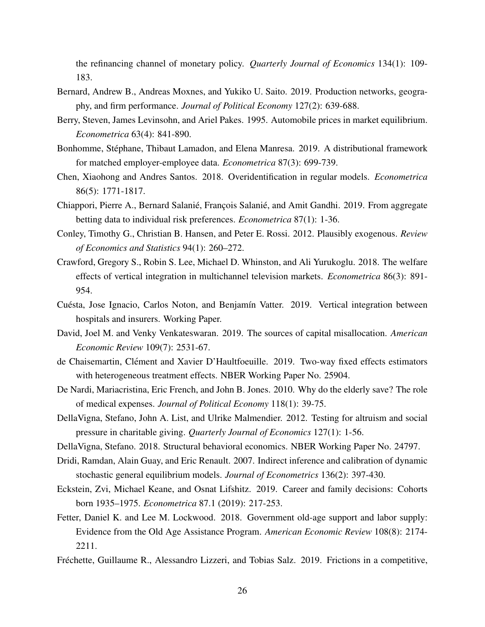the refinancing channel of monetary policy. *Quarterly Journal of Economics* 134(1): 109- 183.

- Bernard, Andrew B., Andreas Moxnes, and Yukiko U. Saito. 2019. Production networks, geography, and firm performance. *Journal of Political Economy* 127(2): 639-688.
- Berry, Steven, James Levinsohn, and Ariel Pakes. 1995. Automobile prices in market equilibrium. *Econometrica* 63(4): 841-890.
- Bonhomme, Stephane, Thibaut Lamadon, and Elena Manresa. 2019. A distributional framework ´ for matched employer-employee data. *Econometrica* 87(3): 699-739.
- Chen, Xiaohong and Andres Santos. 2018. Overidentification in regular models. *Econometrica* 86(5): 1771-1817.
- Chiappori, Pierre A., Bernard Salanié, François Salanié, and Amit Gandhi. 2019. From aggregate betting data to individual risk preferences. *Econometrica* 87(1): 1-36.
- Conley, Timothy G., Christian B. Hansen, and Peter E. Rossi. 2012. Plausibly exogenous. *Review of Economics and Statistics* 94(1): 260–272.
- Crawford, Gregory S., Robin S. Lee, Michael D. Whinston, and Ali Yurukoglu. 2018. The welfare effects of vertical integration in multichannel television markets. *Econometrica* 86(3): 891- 954.
- Cuésta, Jose Ignacio, Carlos Noton, and Benjamín Vatter. 2019. Vertical integration between hospitals and insurers. Working Paper.
- David, Joel M. and Venky Venkateswaran. 2019. The sources of capital misallocation. *American Economic Review* 109(7): 2531-67.
- de Chaisemartin, Clément and Xavier D'Haultfoeuille. 2019. Two-way fixed effects estimators with heterogeneous treatment effects. NBER Working Paper No. 25904.
- De Nardi, Mariacristina, Eric French, and John B. Jones. 2010. Why do the elderly save? The role of medical expenses. *Journal of Political Economy* 118(1): 39-75.
- DellaVigna, Stefano, John A. List, and Ulrike Malmendier. 2012. Testing for altruism and social pressure in charitable giving. *Quarterly Journal of Economics* 127(1): 1-56.
- DellaVigna, Stefano. 2018. Structural behavioral economics. NBER Working Paper No. 24797.
- Dridi, Ramdan, Alain Guay, and Eric Renault. 2007. Indirect inference and calibration of dynamic stochastic general equilibrium models. *Journal of Econometrics* 136(2): 397-430.
- Eckstein, Zvi, Michael Keane, and Osnat Lifshitz. 2019. Career and family decisions: Cohorts born 1935–1975. *Econometrica* 87.1 (2019): 217-253.
- Fetter, Daniel K. and Lee M. Lockwood. 2018. Government old-age support and labor supply: Evidence from the Old Age Assistance Program. *American Economic Review* 108(8): 2174- 2211.
- Fréchette, Guillaume R., Alessandro Lizzeri, and Tobias Salz. 2019. Frictions in a competitive,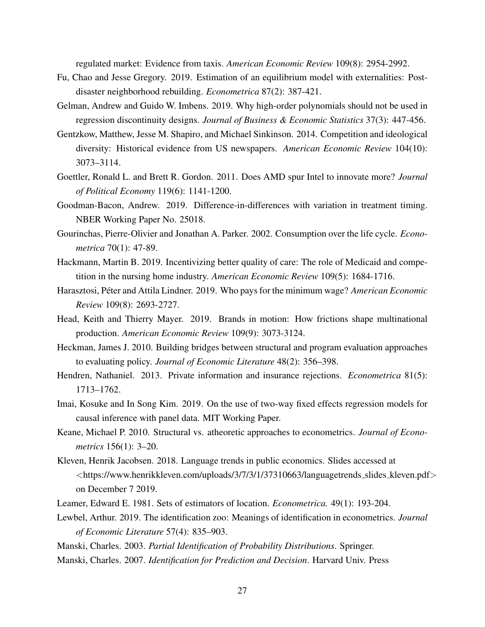regulated market: Evidence from taxis. *American Economic Review* 109(8): 2954-2992.

- Fu, Chao and Jesse Gregory. 2019. Estimation of an equilibrium model with externalities: Postdisaster neighborhood rebuilding. *Econometrica* 87(2): 387-421.
- Gelman, Andrew and Guido W. Imbens. 2019. Why high-order polynomials should not be used in regression discontinuity designs. *Journal of Business & Economic Statistics* 37(3): 447-456.
- Gentzkow, Matthew, Jesse M. Shapiro, and Michael Sinkinson. 2014. Competition and ideological diversity: Historical evidence from US newspapers. *American Economic Review* 104(10): 3073–3114.
- Goettler, Ronald L. and Brett R. Gordon. 2011. Does AMD spur Intel to innovate more? *Journal of Political Economy* 119(6): 1141-1200.
- Goodman-Bacon, Andrew. 2019. Difference-in-differences with variation in treatment timing. NBER Working Paper No. 25018.
- Gourinchas, Pierre-Olivier and Jonathan A. Parker. 2002. Consumption over the life cycle. *Econometrica* 70(1): 47-89.
- Hackmann, Martin B. 2019. Incentivizing better quality of care: The role of Medicaid and competition in the nursing home industry. *American Economic Review* 109(5): 1684-1716.
- Harasztosi, Péter and Attila Lindner. 2019. Who pays for the minimum wage? *American Economic Review* 109(8): 2693-2727.
- Head, Keith and Thierry Mayer. 2019. Brands in motion: How frictions shape multinational production. *American Economic Review* 109(9): 3073-3124.
- Heckman, James J. 2010. Building bridges between structural and program evaluation approaches to evaluating policy. *Journal of Economic Literature* 48(2): 356–398.
- Hendren, Nathaniel. 2013. Private information and insurance rejections. *Econometrica* 81(5): 1713–1762.
- Imai, Kosuke and In Song Kim. 2019. On the use of two-way fixed effects regression models for causal inference with panel data. MIT Working Paper.
- Keane, Michael P. 2010. Structural vs. atheoretic approaches to econometrics. *Journal of Econometrics* 156(1): 3–20.
- Kleven, Henrik Jacobsen. 2018. Language trends in public economics. Slides accessed at  $\langle$ https://www.henrikkleven.com/uploads/3/7/3/1/37310663/languagetrends\_slides\_kleven.pdf $>$ on December 7 2019.
- Leamer, Edward E. 1981. Sets of estimators of location. *Econometrica.* 49(1): 193-204.
- Lewbel, Arthur. 2019. The identification zoo: Meanings of identification in econometrics. *Journal of Economic Literature* 57(4): 835–903.
- Manski, Charles. 2003. *Partial Identification of Probability Distributions*. Springer.
- Manski, Charles. 2007. *Identification for Prediction and Decision*. Harvard Univ. Press